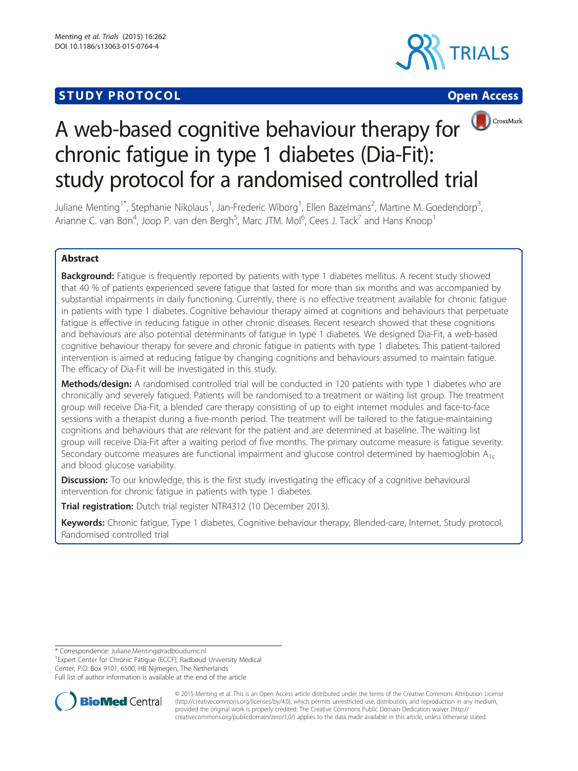# **STUDY PROTOCOL CONSUMING THE CONSUMING OPEN ACCESS**







# A web-based cognitive behaviour therapy for  $\bigcirc$  CrossMark chronic fatigue in type 1 diabetes (Dia-Fit): study protocol for a randomised controlled trial

Juliane Menting<sup>1\*</sup>, Stephanie Nikolaus<sup>1</sup>, Jan-Frederic Wiborg<sup>1</sup>, Ellen Bazelmans<sup>2</sup>, Martine M. Goedendorp<sup>3</sup> , Arianne C. van Bon<sup>4</sup>, Joop P. van den Bergh<sup>5</sup>, Marc JTM. Mol<sup>6</sup>, Cees J. Tack<sup>7</sup> and Hans Knoop<sup>1</sup>

# Abstract

Background: Fatigue is frequently reported by patients with type 1 diabetes mellitus. A recent study showed that 40 % of patients experienced severe fatigue that lasted for more than six months and was accompanied by substantial impairments in daily functioning. Currently, there is no effective treatment available for chronic fatigue in patients with type 1 diabetes. Cognitive behaviour therapy aimed at cognitions and behaviours that perpetuate fatigue is effective in reducing fatigue in other chronic diseases. Recent research showed that these cognitions and behaviours are also potential determinants of fatigue in type 1 diabetes. We designed Dia-Fit, a web-based cognitive behaviour therapy for severe and chronic fatigue in patients with type 1 diabetes. This patient-tailored intervention is aimed at reducing fatigue by changing cognitions and behaviours assumed to maintain fatigue. The efficacy of Dia-Fit will be investigated in this study.

Methods/design: A randomised controlled trial will be conducted in 120 patients with type 1 diabetes who are chronically and severely fatigued. Patients will be randomised to a treatment or waiting list group. The treatment group will receive Dia-Fit, a blended care therapy consisting of up to eight internet modules and face-to-face sessions with a therapist during a five-month period. The treatment will be tailored to the fatigue-maintaining cognitions and behaviours that are relevant for the patient and are determined at baseline. The waiting list group will receive Dia-Fit after a waiting period of five months. The primary outcome measure is fatigue severity. Secondary outcome measures are functional impairment and glucose control determined by haemoglobin  $A_{1c}$ and blood glucose variability.

**Discussion:** To our knowledge, this is the first study investigating the efficacy of a cognitive behavioural intervention for chronic fatigue in patients with type 1 diabetes.

**Trial registration:** Dutch trial register [NTR4312](http://www.trialregister.nl/trialreg/admin/rctview.asp?TC=4312) (10 December 2013).

Keywords: Chronic fatigue, Type 1 diabetes, Cognitive behaviour therapy, Blended-care, Internet, Study protocol, Randomised controlled trial

\* Correspondence: [Juliane.Menting@radboudumc.nl](mailto:Juliane.Menting@radboudumc.nl) <sup>1</sup>

<sup>1</sup> Expert Center for Chronic Fatigue (ECCF), Radboud University Medical Center, P.O. Box 9101, 6500, HB Nijmegen, The Netherlands Full list of author information is available at the end of the article



© 2015 Menting et al. This is an Open Access article distributed under the terms of the Creative Commons Attribution License [\(http://creativecommons.org/licenses/by/4.0\)](http://creativecommons.org/licenses/by/4.0), which permits unrestricted use, distribution, and reproduction in any medium, provided the original work is properly credited. The Creative Commons Public Domain Dedication waiver [\(http://](http://creativecommons.org/publicdomain/zero/1.0/) [creativecommons.org/publicdomain/zero/1.0/\)](http://creativecommons.org/publicdomain/zero/1.0/) applies to the data made available in this article, unless otherwise stated.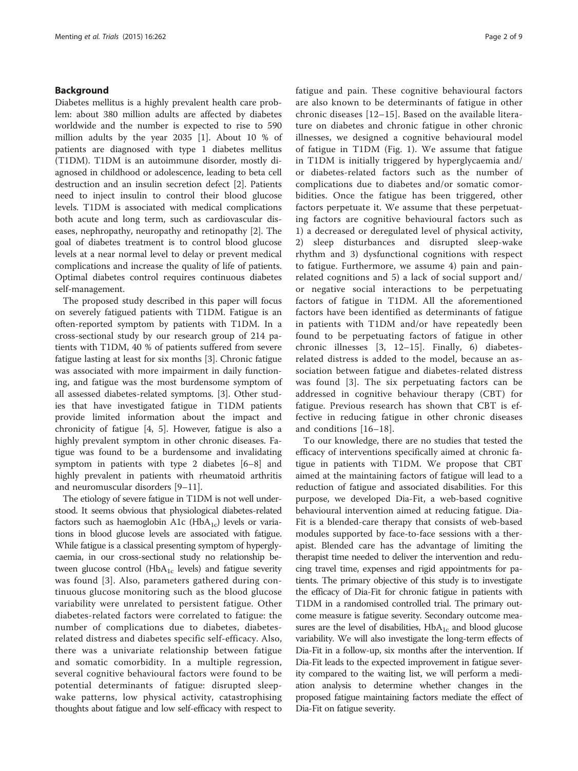# Background

Diabetes mellitus is a highly prevalent health care problem: about 380 million adults are affected by diabetes worldwide and the number is expected to rise to 590 million adults by the year 2035 [[1\]](#page-7-0). About 10 % of patients are diagnosed with type 1 diabetes mellitus (T1DM). T1DM is an autoimmune disorder, mostly diagnosed in childhood or adolescence, leading to beta cell destruction and an insulin secretion defect [[2\]](#page-7-0). Patients need to inject insulin to control their blood glucose levels. T1DM is associated with medical complications both acute and long term, such as cardiovascular diseases, nephropathy, neuropathy and retinopathy [[2\]](#page-7-0). The goal of diabetes treatment is to control blood glucose levels at a near normal level to delay or prevent medical complications and increase the quality of life of patients. Optimal diabetes control requires continuous diabetes self-management.

The proposed study described in this paper will focus on severely fatigued patients with T1DM. Fatigue is an often-reported symptom by patients with T1DM. In a cross-sectional study by our research group of 214 patients with T1DM, 40 % of patients suffered from severe fatigue lasting at least for six months [[3\]](#page-7-0). Chronic fatigue was associated with more impairment in daily functioning, and fatigue was the most burdensome symptom of all assessed diabetes-related symptoms. [\[3](#page-7-0)]. Other studies that have investigated fatigue in T1DM patients provide limited information about the impact and chronicity of fatigue [\[4](#page-7-0), [5](#page-7-0)]. However, fatigue is also a highly prevalent symptom in other chronic diseases. Fatigue was found to be a burdensome and invalidating symptom in patients with type 2 diabetes [[6](#page-7-0)–[8\]](#page-7-0) and highly prevalent in patients with rheumatoid arthritis and neuromuscular disorders [[9](#page-7-0)–[11](#page-8-0)].

The etiology of severe fatigue in T1DM is not well understood. It seems obvious that physiological diabetes-related factors such as haemoglobin A1c ( $HbA_{1c}$ ) levels or variations in blood glucose levels are associated with fatigue. While fatigue is a classical presenting symptom of hyperglycaemia, in our cross-sectional study no relationship between glucose control ( $HbA_{1c}$  levels) and fatigue severity was found [\[3](#page-7-0)]. Also, parameters gathered during continuous glucose monitoring such as the blood glucose variability were unrelated to persistent fatigue. Other diabetes-related factors were correlated to fatigue: the number of complications due to diabetes, diabetesrelated distress and diabetes specific self-efficacy. Also, there was a univariate relationship between fatigue and somatic comorbidity. In a multiple regression, several cognitive behavioural factors were found to be potential determinants of fatigue: disrupted sleepwake patterns, low physical activity, catastrophising thoughts about fatigue and low self-efficacy with respect to fatigue and pain. These cognitive behavioural factors are also known to be determinants of fatigue in other chronic diseases [\[12](#page-8-0)–[15\]](#page-8-0). Based on the available literature on diabetes and chronic fatigue in other chronic illnesses, we designed a cognitive behavioural model of fatigue in T1DM (Fig. [1](#page-2-0)). We assume that fatigue in T1DM is initially triggered by hyperglycaemia and/ or diabetes-related factors such as the number of complications due to diabetes and/or somatic comorbidities. Once the fatigue has been triggered, other factors perpetuate it. We assume that these perpetuating factors are cognitive behavioural factors such as 1) a decreased or deregulated level of physical activity, 2) sleep disturbances and disrupted sleep-wake rhythm and 3) dysfunctional cognitions with respect to fatigue. Furthermore, we assume 4) pain and painrelated cognitions and 5) a lack of social support and/ or negative social interactions to be perpetuating factors of fatigue in T1DM. All the aforementioned factors have been identified as determinants of fatigue in patients with T1DM and/or have repeatedly been found to be perpetuating factors of fatigue in other chronic illnesses [[3,](#page-7-0) [12](#page-8-0)–[15](#page-8-0)]. Finally, 6) diabetesrelated distress is added to the model, because an association between fatigue and diabetes-related distress was found [[3\]](#page-7-0). The six perpetuating factors can be addressed in cognitive behaviour therapy (CBT) for fatigue. Previous research has shown that CBT is effective in reducing fatigue in other chronic diseases and conditions [[16](#page-8-0)–[18\]](#page-8-0).

To our knowledge, there are no studies that tested the efficacy of interventions specifically aimed at chronic fatigue in patients with T1DM. We propose that CBT aimed at the maintaining factors of fatigue will lead to a reduction of fatigue and associated disabilities. For this purpose, we developed Dia-Fit, a web-based cognitive behavioural intervention aimed at reducing fatigue. Dia-Fit is a blended-care therapy that consists of web-based modules supported by face-to-face sessions with a therapist. Blended care has the advantage of limiting the therapist time needed to deliver the intervention and reducing travel time, expenses and rigid appointments for patients. The primary objective of this study is to investigate the efficacy of Dia-Fit for chronic fatigue in patients with T1DM in a randomised controlled trial. The primary outcome measure is fatigue severity. Secondary outcome measures are the level of disabilities,  $HbA_{1c}$  and blood glucose variability. We will also investigate the long-term effects of Dia-Fit in a follow-up, six months after the intervention. If Dia-Fit leads to the expected improvement in fatigue severity compared to the waiting list, we will perform a mediation analysis to determine whether changes in the proposed fatigue maintaining factors mediate the effect of Dia-Fit on fatigue severity.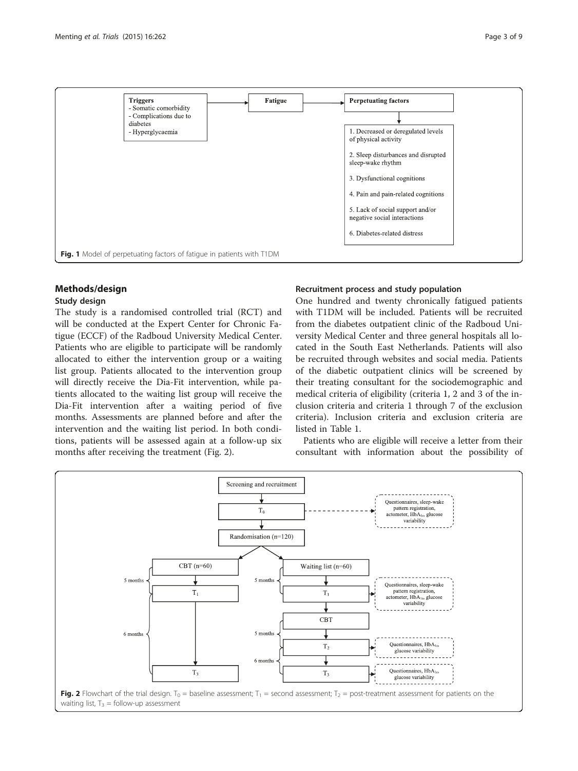<span id="page-2-0"></span>

# Methods/design

# Study design

The study is a randomised controlled trial (RCT) and will be conducted at the Expert Center for Chronic Fatigue (ECCF) of the Radboud University Medical Center. Patients who are eligible to participate will be randomly allocated to either the intervention group or a waiting list group. Patients allocated to the intervention group will directly receive the Dia-Fit intervention, while patients allocated to the waiting list group will receive the Dia-Fit intervention after a waiting period of five months. Assessments are planned before and after the intervention and the waiting list period. In both conditions, patients will be assessed again at a follow-up six months after receiving the treatment (Fig. 2).

# Recruitment process and study population

One hundred and twenty chronically fatigued patients with T1DM will be included. Patients will be recruited from the diabetes outpatient clinic of the Radboud University Medical Center and three general hospitals all located in the South East Netherlands. Patients will also be recruited through websites and social media. Patients of the diabetic outpatient clinics will be screened by their treating consultant for the sociodemographic and medical criteria of eligibility (criteria 1, 2 and 3 of the inclusion criteria and criteria 1 through 7 of the exclusion criteria). Inclusion criteria and exclusion criteria are listed in Table [1](#page-3-0).

Patients who are eligible will receive a letter from their consultant with information about the possibility of

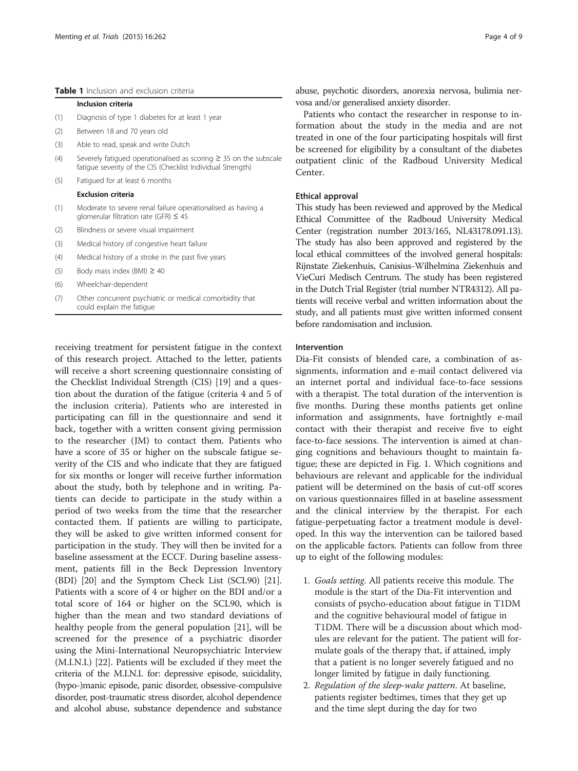#### <span id="page-3-0"></span>Table 1 Inclusion and exclusion criteria

#### Inclusion criteria

- (1) Diagnosis of type 1 diabetes for at least 1 year
- (2) Between 18 and 70 years old
- (3) Able to read, speak and write Dutch
- (4) Severely fatigued operationalised as scoring ≥ 35 on the subscale fatigue severity of the CIS (Checklist Individual Strength)
- (5) Fatigued for at least 6 months

#### Exclusion criteria

- (1) Moderate to severe renal failure operationalised as having a glomerular filtration rate (GFR)  $\leq$  45
- (2) Blindness or severe visual impairment
- (3) Medical history of congestive heart failure
- (4) Medical history of a stroke in the past five years
- (5) Body mass index (BMI)  $\geq$  40
- (6) Wheelchair-dependent
- (7) Other concurrent psychiatric or medical comorbidity that could explain the fatigue

receiving treatment for persistent fatigue in the context of this research project. Attached to the letter, patients will receive a short screening questionnaire consisting of the Checklist Individual Strength (CIS) [\[19](#page-8-0)] and a question about the duration of the fatigue (criteria 4 and 5 of the inclusion criteria). Patients who are interested in participating can fill in the questionnaire and send it back, together with a written consent giving permission to the researcher (JM) to contact them. Patients who have a score of 35 or higher on the subscale fatigue severity of the CIS and who indicate that they are fatigued for six months or longer will receive further information about the study, both by telephone and in writing. Patients can decide to participate in the study within a period of two weeks from the time that the researcher contacted them. If patients are willing to participate, they will be asked to give written informed consent for participation in the study. They will then be invited for a baseline assessment at the ECCF. During baseline assessment, patients fill in the Beck Depression Inventory (BDI) [[20\]](#page-8-0) and the Symptom Check List (SCL90) [\[21](#page-8-0)]. Patients with a score of 4 or higher on the BDI and/or a total score of 164 or higher on the SCL90, which is higher than the mean and two standard deviations of healthy people from the general population [\[21\]](#page-8-0), will be screened for the presence of a psychiatric disorder using the Mini-International Neuropsychiatric Interview (M.I.N.I.) [\[22\]](#page-8-0). Patients will be excluded if they meet the criteria of the M.I.N.I. for: depressive episode, suicidality, (hypo-)manic episode, panic disorder, obsessive-compulsive disorder, post-traumatic stress disorder, alcohol dependence and alcohol abuse, substance dependence and substance

abuse, psychotic disorders, anorexia nervosa, bulimia nervosa and/or generalised anxiety disorder.

Patients who contact the researcher in response to information about the study in the media and are not treated in one of the four participating hospitals will first be screened for eligibility by a consultant of the diabetes outpatient clinic of the Radboud University Medical Center.

# Ethical approval

This study has been reviewed and approved by the Medical Ethical Committee of the Radboud University Medical Center (registration number 2013/165, NL43178.091.13). The study has also been approved and registered by the local ethical committees of the involved general hospitals: Rijnstate Ziekenhuis, Canisius-Wilhelmina Ziekenhuis and VieCuri Medisch Centrum. The study has been registered in the Dutch Trial Register (trial number NTR4312). All patients will receive verbal and written information about the study, and all patients must give written informed consent before randomisation and inclusion.

# Intervention

Dia-Fit consists of blended care, a combination of assignments, information and e-mail contact delivered via an internet portal and individual face-to-face sessions with a therapist. The total duration of the intervention is five months. During these months patients get online information and assignments, have fortnightly e-mail contact with their therapist and receive five to eight face-to-face sessions. The intervention is aimed at changing cognitions and behaviours thought to maintain fatigue; these are depicted in Fig. [1.](#page-2-0) Which cognitions and behaviours are relevant and applicable for the individual patient will be determined on the basis of cut-off scores on various questionnaires filled in at baseline assessment and the clinical interview by the therapist. For each fatigue-perpetuating factor a treatment module is developed. In this way the intervention can be tailored based on the applicable factors. Patients can follow from three up to eight of the following modules:

- 1. Goals setting. All patients receive this module. The module is the start of the Dia-Fit intervention and consists of psycho-education about fatigue in T1DM and the cognitive behavioural model of fatigue in T1DM. There will be a discussion about which modules are relevant for the patient. The patient will formulate goals of the therapy that, if attained, imply that a patient is no longer severely fatigued and no longer limited by fatigue in daily functioning.
- 2. Regulation of the sleep-wake pattern. At baseline, patients register bedtimes, times that they get up and the time slept during the day for two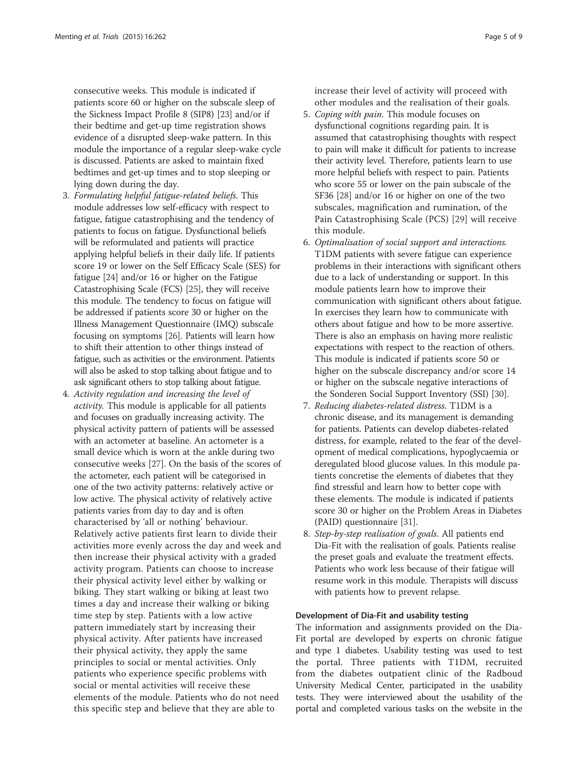consecutive weeks. This module is indicated if patients score 60 or higher on the subscale sleep of the Sickness Impact Profile 8 (SIP8) [[23\]](#page-8-0) and/or if their bedtime and get-up time registration shows evidence of a disrupted sleep-wake pattern. In this module the importance of a regular sleep-wake cycle is discussed. Patients are asked to maintain fixed bedtimes and get-up times and to stop sleeping or lying down during the day.

- 3. Formulating helpful fatigue-related beliefs. This module addresses low self-efficacy with respect to fatigue, fatigue catastrophising and the tendency of patients to focus on fatigue. Dysfunctional beliefs will be reformulated and patients will practice applying helpful beliefs in their daily life. If patients score 19 or lower on the Self Efficacy Scale (SES) for fatigue [\[24\]](#page-8-0) and/or 16 or higher on the Fatigue Catastrophising Scale (FCS) [[25](#page-8-0)], they will receive this module. The tendency to focus on fatigue will be addressed if patients score 30 or higher on the Illness Management Questionnaire (IMQ) subscale focusing on symptoms [\[26\]](#page-8-0). Patients will learn how to shift their attention to other things instead of fatigue, such as activities or the environment. Patients will also be asked to stop talking about fatigue and to ask significant others to stop talking about fatigue.
- 4. Activity regulation and increasing the level of activity. This module is applicable for all patients and focuses on gradually increasing activity. The physical activity pattern of patients will be assessed with an actometer at baseline. An actometer is a small device which is worn at the ankle during two consecutive weeks [\[27\]](#page-8-0). On the basis of the scores of the actometer, each patient will be categorised in one of the two activity patterns: relatively active or low active. The physical activity of relatively active patients varies from day to day and is often characterised by 'all or nothing' behaviour. Relatively active patients first learn to divide their activities more evenly across the day and week and then increase their physical activity with a graded activity program. Patients can choose to increase their physical activity level either by walking or biking. They start walking or biking at least two times a day and increase their walking or biking time step by step. Patients with a low active pattern immediately start by increasing their physical activity. After patients have increased their physical activity, they apply the same principles to social or mental activities. Only patients who experience specific problems with social or mental activities will receive these elements of the module. Patients who do not need this specific step and believe that they are able to

increase their level of activity will proceed with other modules and the realisation of their goals.

- 5. Coping with pain. This module focuses on dysfunctional cognitions regarding pain. It is assumed that catastrophising thoughts with respect to pain will make it difficult for patients to increase their activity level. Therefore, patients learn to use more helpful beliefs with respect to pain. Patients who score 55 or lower on the pain subscale of the SF36 [\[28\]](#page-8-0) and/or 16 or higher on one of the two subscales, magnification and rumination, of the Pain Catastrophising Scale (PCS) [[29\]](#page-8-0) will receive this module.
- 6. Optimalisation of social support and interactions. T1DM patients with severe fatigue can experience problems in their interactions with significant others due to a lack of understanding or support. In this module patients learn how to improve their communication with significant others about fatigue. In exercises they learn how to communicate with others about fatigue and how to be more assertive. There is also an emphasis on having more realistic expectations with respect to the reaction of others. This module is indicated if patients score 50 or higher on the subscale discrepancy and/or score 14 or higher on the subscale negative interactions of the Sonderen Social Support Inventory (SSI) [[30](#page-8-0)].
- 7. Reducing diabetes-related distress. T1DM is a chronic disease, and its management is demanding for patients. Patients can develop diabetes-related distress, for example, related to the fear of the development of medical complications, hypoglycaemia or deregulated blood glucose values. In this module patients concretise the elements of diabetes that they find stressful and learn how to better cope with these elements. The module is indicated if patients score 30 or higher on the Problem Areas in Diabetes (PAID) questionnaire [[31\]](#page-8-0).
- 8. Step-by-step realisation of goals. All patients end Dia-Fit with the realisation of goals. Patients realise the preset goals and evaluate the treatment effects. Patients who work less because of their fatigue will resume work in this module. Therapists will discuss with patients how to prevent relapse.

# Development of Dia-Fit and usability testing

The information and assignments provided on the Dia-Fit portal are developed by experts on chronic fatigue and type 1 diabetes. Usability testing was used to test the portal. Three patients with T1DM, recruited from the diabetes outpatient clinic of the Radboud University Medical Center, participated in the usability tests. They were interviewed about the usability of the portal and completed various tasks on the website in the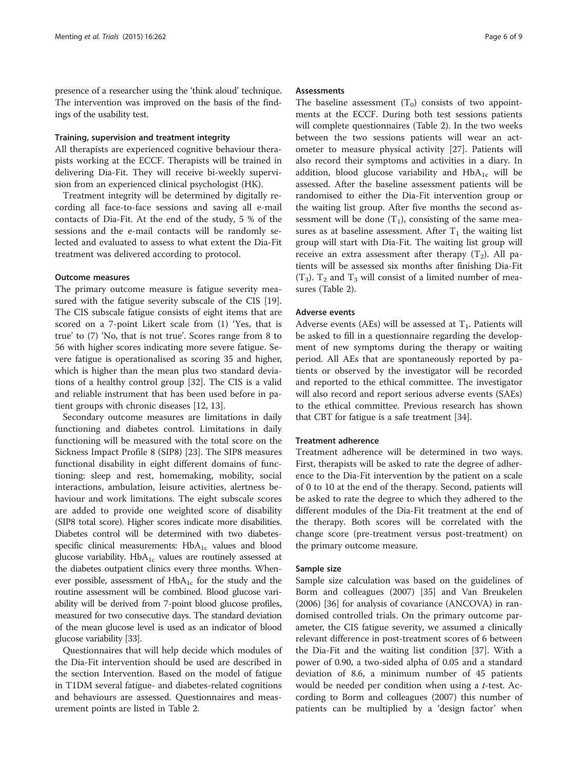presence of a researcher using the 'think aloud' technique. The intervention was improved on the basis of the findings of the usability test.

#### Training, supervision and treatment integrity

All therapists are experienced cognitive behaviour therapists working at the ECCF. Therapists will be trained in delivering Dia-Fit. They will receive bi-weekly supervision from an experienced clinical psychologist (HK).

Treatment integrity will be determined by digitally recording all face-to-face sessions and saving all e-mail contacts of Dia-Fit. At the end of the study, 5 % of the sessions and the e-mail contacts will be randomly selected and evaluated to assess to what extent the Dia-Fit treatment was delivered according to protocol.

# Outcome measures

The primary outcome measure is fatigue severity mea-sured with the fatigue severity subscale of the CIS [\[19](#page-8-0)]. The CIS subscale fatigue consists of eight items that are scored on a 7-point Likert scale from (1) 'Yes, that is true' to (7) 'No, that is not true'. Scores range from 8 to 56 with higher scores indicating more severe fatigue. Severe fatigue is operationalised as scoring 35 and higher, which is higher than the mean plus two standard deviations of a healthy control group [[32](#page-8-0)]. The CIS is a valid and reliable instrument that has been used before in patient groups with chronic diseases [\[12](#page-8-0), [13](#page-8-0)].

Secondary outcome measures are limitations in daily functioning and diabetes control. Limitations in daily functioning will be measured with the total score on the Sickness Impact Profile 8 (SIP8) [[23\]](#page-8-0). The SIP8 measures functional disability in eight different domains of functioning: sleep and rest, homemaking, mobility, social interactions, ambulation, leisure activities, alertness behaviour and work limitations. The eight subscale scores are added to provide one weighted score of disability (SIP8 total score). Higher scores indicate more disabilities. Diabetes control will be determined with two diabetesspecific clinical measurements:  $HbA_{1c}$  values and blood glucose variability.  $HbA_{1c}$  values are routinely assessed at the diabetes outpatient clinics every three months. Whenever possible, assessment of  $HbA_{1c}$  for the study and the routine assessment will be combined. Blood glucose variability will be derived from 7-point blood glucose profiles, measured for two consecutive days. The standard deviation of the mean glucose level is used as an indicator of blood glucose variability [[33](#page-8-0)].

Questionnaires that will help decide which modules of the Dia-Fit intervention should be used are described in the section Intervention. Based on the model of fatigue in T1DM several fatigue- and diabetes-related cognitions and behaviours are assessed. Questionnaires and measurement points are listed in Table [2](#page-6-0).

## **Assessments**

The baseline assessment  $(T_0)$  consists of two appointments at the ECCF. During both test sessions patients will complete questionnaires (Table [2](#page-6-0)). In the two weeks between the two sessions patients will wear an actometer to measure physical activity [\[27](#page-8-0)]. Patients will also record their symptoms and activities in a diary. In addition, blood glucose variability and  $HbA_{1c}$  will be assessed. After the baseline assessment patients will be randomised to either the Dia-Fit intervention group or the waiting list group. After five months the second assessment will be done  $(T_1)$ , consisting of the same measures as at baseline assessment. After  $T_1$  the waiting list group will start with Dia-Fit. The waiting list group will receive an extra assessment after therapy  $(T_2)$ . All patients will be assessed six months after finishing Dia-Fit  $(T_3)$ .  $T_2$  and  $T_3$  will consist of a limited number of measures (Table [2\)](#page-6-0).

# Adverse events

Adverse events (AEs) will be assessed at  $T_1$ . Patients will be asked to fill in a questionnaire regarding the development of new symptoms during the therapy or waiting period. All AEs that are spontaneously reported by patients or observed by the investigator will be recorded and reported to the ethical committee. The investigator will also record and report serious adverse events (SAEs) to the ethical committee. Previous research has shown that CBT for fatigue is a safe treatment [\[34](#page-8-0)].

# Treatment adherence

Treatment adherence will be determined in two ways. First, therapists will be asked to rate the degree of adherence to the Dia-Fit intervention by the patient on a scale of 0 to 10 at the end of the therapy. Second, patients will be asked to rate the degree to which they adhered to the different modules of the Dia-Fit treatment at the end of the therapy. Both scores will be correlated with the change score (pre-treatment versus post-treatment) on the primary outcome measure.

#### Sample size

Sample size calculation was based on the guidelines of Borm and colleagues (2007) [\[35](#page-8-0)] and Van Breukelen (2006) [[36\]](#page-8-0) for analysis of covariance (ANCOVA) in randomised controlled trials. On the primary outcome parameter, the CIS fatigue severity, we assumed a clinically relevant difference in post-treatment scores of 6 between the Dia-Fit and the waiting list condition [\[37\]](#page-8-0). With a power of 0.90, a two-sided alpha of 0.05 and a standard deviation of 8.6, a minimum number of 45 patients would be needed per condition when using a t-test. According to Borm and colleagues (2007) this number of patients can be multiplied by a 'design factor' when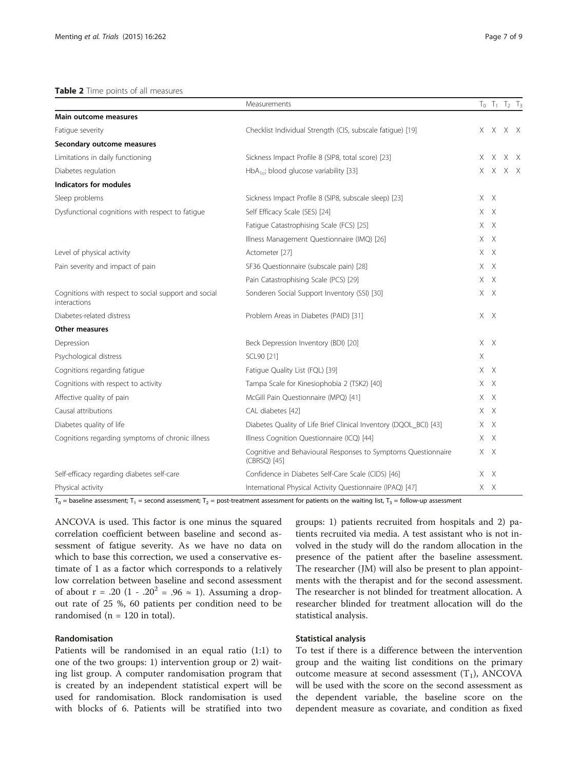#### <span id="page-6-0"></span>Table 2 Time points of all measures

|                                                                      | Measurements                                                                  |   |         | $T_0$ $T_1$ $T_2$ $T_3$ |     |
|----------------------------------------------------------------------|-------------------------------------------------------------------------------|---|---------|-------------------------|-----|
| Main outcome measures                                                |                                                                               |   |         |                         |     |
| Fatique severity                                                     | Checklist Individual Strength (CIS, subscale fatigue) [19]                    |   |         | X X X X                 |     |
| Secondary outcome measures                                           |                                                                               |   |         |                         |     |
| Limitations in daily functioning                                     | Sickness Impact Profile 8 (SIP8, total score) [23]                            |   | XX.     |                         | X X |
| Diabetes regulation                                                  | $HbA_{1c}$ ; blood glucose variability [33]                                   |   | XX.     |                         | XX  |
| <b>Indicators for modules</b>                                        |                                                                               |   |         |                         |     |
| Sleep problems                                                       | Sickness Impact Profile 8 (SIP8, subscale sleep) [23]                         |   | XX      |                         |     |
| Dysfunctional cognitions with respect to fatigue                     | Self Efficacy Scale (SES) [24]                                                |   | XX      |                         |     |
|                                                                      | Fatigue Catastrophising Scale (FCS) [25]                                      |   | $X$ $X$ |                         |     |
|                                                                      | Illness Management Questionnaire (IMQ) [26]                                   |   | XX      |                         |     |
| Level of physical activity                                           | Actometer [27]                                                                |   | XX      |                         |     |
| Pain severity and impact of pain                                     | SF36 Questionnaire (subscale pain) [28]                                       |   | XX      |                         |     |
|                                                                      | Pain Catastrophising Scale (PCS) [29]                                         |   | X X     |                         |     |
| Cognitions with respect to social support and social<br>interactions | Sonderen Social Support Inventory (SSI) [30]                                  |   | XX      |                         |     |
| Diabetes-related distress                                            | Problem Areas in Diabetes (PAID) [31]                                         |   | X X     |                         |     |
| Other measures                                                       |                                                                               |   |         |                         |     |
| Depression                                                           | Beck Depression Inventory (BDI) [20]                                          |   | XX      |                         |     |
| Psychological distress                                               | SCL90 [21]                                                                    | Χ |         |                         |     |
| Cognitions regarding fatigue                                         | Fatique Quality List (FQL) [39]                                               |   | XX      |                         |     |
| Cognitions with respect to activity                                  | Tampa Scale for Kinesiophobia 2 (TSK2) [40]                                   |   | $X$ $X$ |                         |     |
| Affective quality of pain                                            | McGill Pain Questionnaire (MPQ) [41]                                          |   | XX      |                         |     |
| Causal attributions                                                  | CAL diabetes [42]                                                             |   | $X$ $X$ |                         |     |
| Diabetes quality of life                                             | Diabetes Quality of Life Brief Clinical Inventory (DQOL_BCI) [43]             |   | XX      |                         |     |
| Cognitions regarding symptoms of chronic illness                     | Illness Cognition Questionnaire (ICQ) [44]                                    |   | $X$ $X$ |                         |     |
|                                                                      | Cognitive and Behavioural Responses to Symptoms Questionnaire<br>(CBRSQ) [45] |   | XX      |                         |     |
| Self-efficacy regarding diabetes self-care                           | Confidence in Diabetes Self-Care Scale (CIDS) [46]                            |   | $X$ $X$ |                         |     |
| Physical activity                                                    | International Physical Activity Questionnaire (IPAQ) [47]                     |   | XX      |                         |     |

 $T_0$  = baseline assessment; T<sub>1</sub> = second assessment; T<sub>2</sub> = post-treatment assessment for patients on the waiting list, T<sub>3</sub> = follow-up assessment

ANCOVA is used. This factor is one minus the squared correlation coefficient between baseline and second assessment of fatigue severity. As we have no data on which to base this correction, we used a conservative estimate of 1 as a factor which corresponds to a relatively low correlation between baseline and second assessment of about r = .20 (1 - .20<sup>2</sup> = .96  $\approx$  1). Assuming a dropout rate of 25 %, 60 patients per condition need to be randomised ( $n = 120$  in total).

# Randomisation

Patients will be randomised in an equal ratio (1:1) to one of the two groups: 1) intervention group or 2) waiting list group. A computer randomisation program that is created by an independent statistical expert will be used for randomisation. Block randomisation is used with blocks of 6. Patients will be stratified into two groups: 1) patients recruited from hospitals and 2) patients recruited via media. A test assistant who is not involved in the study will do the random allocation in the presence of the patient after the baseline assessment. The researcher (JM) will also be present to plan appointments with the therapist and for the second assessment. The researcher is not blinded for treatment allocation. A researcher blinded for treatment allocation will do the statistical analysis.

# Statistical analysis

To test if there is a difference between the intervention group and the waiting list conditions on the primary outcome measure at second assessment  $(T_1)$ , ANCOVA will be used with the score on the second assessment as the dependent variable, the baseline score on the dependent measure as covariate, and condition as fixed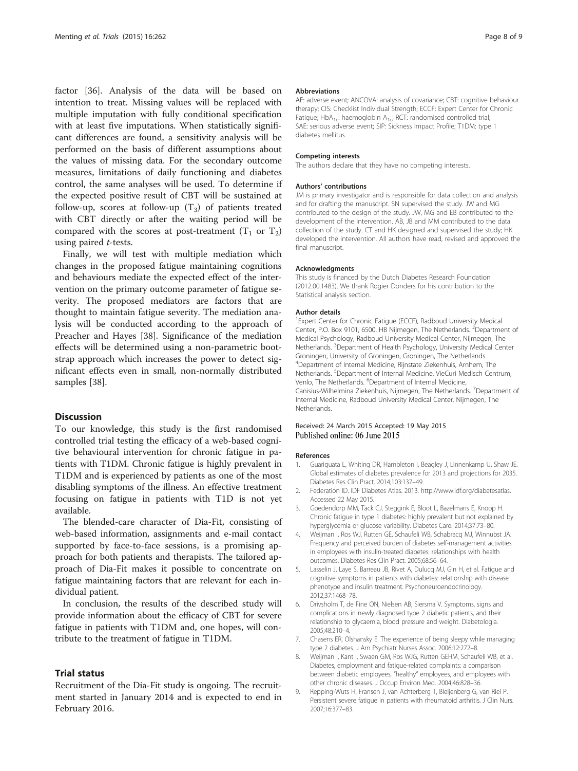<span id="page-7-0"></span>factor [\[36](#page-8-0)]. Analysis of the data will be based on intention to treat. Missing values will be replaced with multiple imputation with fully conditional specification with at least five imputations. When statistically significant differences are found, a sensitivity analysis will be performed on the basis of different assumptions about the values of missing data. For the secondary outcome measures, limitations of daily functioning and diabetes control, the same analyses will be used. To determine if the expected positive result of CBT will be sustained at follow-up, scores at follow-up  $(T_3)$  of patients treated with CBT directly or after the waiting period will be compared with the scores at post-treatment  $(T_1 \text{ or } T_2)$ using paired t-tests.

Finally, we will test with multiple mediation which changes in the proposed fatigue maintaining cognitions and behaviours mediate the expected effect of the intervention on the primary outcome parameter of fatigue severity. The proposed mediators are factors that are thought to maintain fatigue severity. The mediation analysis will be conducted according to the approach of Preacher and Hayes [[38\]](#page-8-0). Significance of the mediation effects will be determined using a non-parametric bootstrap approach which increases the power to detect significant effects even in small, non-normally distributed samples [\[38\]](#page-8-0).

# **Discussion**

To our knowledge, this study is the first randomised controlled trial testing the efficacy of a web-based cognitive behavioural intervention for chronic fatigue in patients with T1DM. Chronic fatigue is highly prevalent in T1DM and is experienced by patients as one of the most disabling symptoms of the illness. An effective treatment focusing on fatigue in patients with T1D is not yet available.

The blended-care character of Dia-Fit, consisting of web-based information, assignments and e-mail contact supported by face-to-face sessions, is a promising approach for both patients and therapists. The tailored approach of Dia-Fit makes it possible to concentrate on fatigue maintaining factors that are relevant for each individual patient.

In conclusion, the results of the described study will provide information about the efficacy of CBT for severe fatigue in patients with T1DM and, one hopes, will contribute to the treatment of fatigue in T1DM.

# Trial status

Recruitment of the Dia-Fit study is ongoing. The recruitment started in January 2014 and is expected to end in February 2016.

#### **Abbreviations**

AE: adverse event; ANCOVA: analysis of covariance; CBT: cognitive behaviour therapy; CIS: Checklist Individual Strength; ECCF: Expert Center for Chronic Fatigue; HbA<sub>1c</sub>: haemoglobin A<sub>1c</sub>; RCT: randomised controlled trial; SAE: serious adverse event; SIP: Sickness Impact Profile; T1DM: type 1 diabetes mellitus.

#### Competing interests

The authors declare that they have no competing interests.

#### Authors' contributions

JM is primary investigator and is responsible for data collection and analysis and for drafting the manuscript. SN supervised the study. JW and MG contributed to the design of the study. JW, MG and EB contributed to the development of the intervention. AB, JB and MM contributed to the data collection of the study. CT and HK designed and supervised the study; HK developed the intervention. All authors have read, revised and approved the final manuscript.

#### Acknowledgments

This study is financed by the Dutch Diabetes Research Foundation (2012.00.1483). We thank Rogier Donders for his contribution to the Statistical analysis section.

#### Author details

<sup>1</sup> Expert Center for Chronic Fatigue (ECCF), Radboud University Medical Center, P.O. Box 9101, 6500, HB Nijmegen, The Netherlands. <sup>2</sup>Department of Medical Psychology, Radboud University Medical Center, Nijmegen, The Netherlands. <sup>3</sup>Department of Health Psychology, University Medical Center Groningen, University of Groningen, Groningen, The Netherlands. 4 Department of Internal Medicine, Rijnstate Ziekenhuis, Arnhem, The Netherlands. <sup>5</sup>Department of Internal Medicine, VieCuri Medisch Centrum Venlo, The Netherlands. <sup>6</sup>Department of Internal Medicine, Canisius-Wilhelmina Ziekenhuis, Nijmegen, The Netherlands. <sup>7</sup>Department of Internal Medicine, Radboud University Medical Center, Nijmegen, The Netherlands.

# Received: 24 March 2015 Accepted: 19 May 2015 Published online: 06 June 2015

#### References

- 1. Guariguata L, Whiting DR, Hambleton I, Beagley J, Linnenkamp U, Shaw JE. Global estimates of diabetes prevalence for 2013 and projections for 2035. Diabetes Res Clin Pract. 2014;103:137–49.
- 2. Federation ID. IDF Diabetes Atlas. 2013. [http://www.idf.org/diabetesatlas.](http://www.idf.org/diabetesatlas) Accessed 22 May 2015.
- 3. Goedendorp MM, Tack CJ, Steggink E, Bloot L, Bazelmans E, Knoop H. Chronic fatigue in type 1 diabetes: highly prevalent but not explained by hyperglycemia or glucose variability. Diabetes Care. 2014;37:73–80.
- 4. Weijman I, Ros WJ, Rutten GE, Schaufeli WB, Schabracq MJ, Winnubst JA. Frequency and perceived burden of diabetes self-management activities in employees with insulin-treated diabetes: relationships with health outcomes. Diabetes Res Clin Pract. 2005;68:56–64.
- Lasselin J, Laye S, Barreau JB, Rivet A, Dulucq MJ, Gin H, et al. Fatigue and cognitive symptoms in patients with diabetes: relationship with disease phenotype and insulin treatment. Psychoneuroendocrinology. 2012;37:1468–78.
- 6. Drivsholm T, de Fine ON, Nielsen AB, Siersma V. Symptoms, signs and complications in newly diagnosed type 2 diabetic patients, and their relationship to glycaemia, blood pressure and weight. Diabetologia. 2005;48:210–4.
- 7. Chasens ER, Olshansky E. The experience of being sleepy while managing type 2 diabetes. J Am Psychiatr Nurses Assoc. 2006;12:272–8.
- 8. Weijman I, Kant I, Swaen GM, Ros WJG, Rutten GEHM, Schaufeli WB, et al. Diabetes, employment and fatigue-related complaints: a comparison between diabetic employees, "healthy" employees, and employees with other chronic diseases. J Occup Environ Med. 2004;46:828–36.
- 9. Repping-Wuts H, Fransen J, van Achterberg T, Bleijenberg G, van Riel P. Persistent severe fatigue in patients with rheumatoid arthritis. J Clin Nurs. 2007;16:377–83.